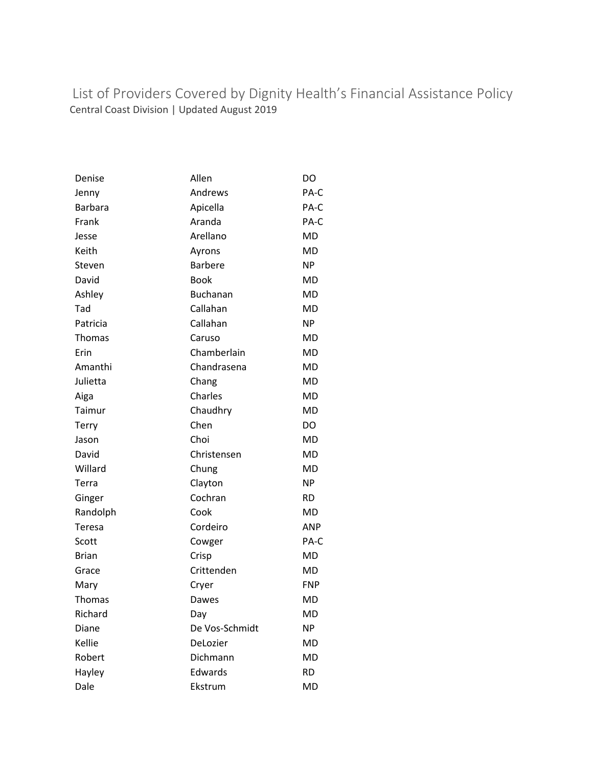List of Providers Covered by Dignity Health's Financial Assistance Policy Central Coast Division | Updated August 2019

| Denise         | Allen           | DO         |
|----------------|-----------------|------------|
| Jenny          | Andrews         | PA-C       |
| <b>Barbara</b> | Apicella        | PA-C       |
| Frank          | Aranda          | PA-C       |
| Jesse          | Arellano        | <b>MD</b>  |
| Keith          | Ayrons          | MD         |
| Steven         | <b>Barbere</b>  | <b>NP</b>  |
| David          | <b>Book</b>     | MD         |
| Ashley         | <b>Buchanan</b> | <b>MD</b>  |
| Tad            | Callahan        | MD         |
| Patricia       | Callahan        | <b>NP</b>  |
| <b>Thomas</b>  | Caruso          | MD         |
| Erin           | Chamberlain     | MD         |
| Amanthi        | Chandrasena     | <b>MD</b>  |
| Julietta       | Chang           | <b>MD</b>  |
| Aiga           | Charles         | <b>MD</b>  |
| Taimur         | Chaudhry        | MD         |
| Terry          | Chen            | DO.        |
| Jason          | Choi            | MD         |
| David          | Christensen     | MD         |
| Willard        | Chung           | MD         |
| Terra          | Clayton         | <b>NP</b>  |
| Ginger         | Cochran         | <b>RD</b>  |
| Randolph       | Cook            | MD         |
| Teresa         | Cordeiro        | <b>ANP</b> |
| Scott          | Cowger          | PA-C       |
| <b>Brian</b>   | Crisp           | <b>MD</b>  |
| Grace          | Crittenden      | MD         |
| Mary           | Cryer           | <b>FNP</b> |
| <b>Thomas</b>  | Dawes           | <b>MD</b>  |
| Richard        | Day             | <b>MD</b>  |
| Diane          | De Vos-Schmidt  | <b>NP</b>  |
| Kellie         | DeLozier        | MD         |
| Robert         | Dichmann        | <b>MD</b>  |
| Hayley         | Edwards         | <b>RD</b>  |
| Dale           | Ekstrum         | MD         |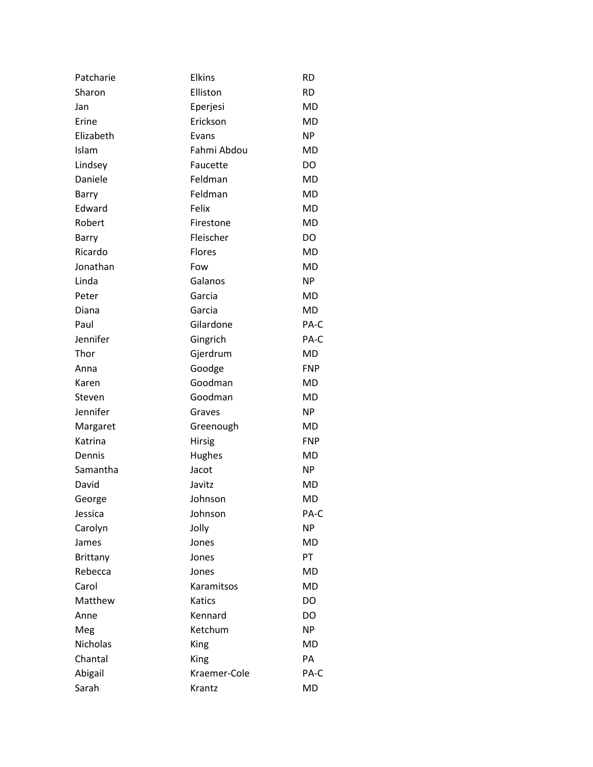| Patcharie       | <b>Elkins</b> | <b>RD</b>  |
|-----------------|---------------|------------|
| Sharon          | Elliston      | <b>RD</b>  |
| Jan             | Eperjesi      | MD         |
| Erine           | Erickson      | <b>MD</b>  |
| Elizabeth       | Evans         | NP.        |
| Islam           | Fahmi Abdou   | <b>MD</b>  |
| Lindsey         | Faucette      | DO         |
| Daniele         | Feldman       | <b>MD</b>  |
| Barry           | Feldman       | <b>MD</b>  |
| Edward          | Felix         | <b>MD</b>  |
| Robert          | Firestone     | <b>MD</b>  |
| Barry           | Fleischer     | DO         |
| Ricardo         | Flores        | <b>MD</b>  |
| Jonathan        | Fow           | <b>MD</b>  |
| Linda           | Galanos       | <b>NP</b>  |
| Peter           | Garcia        | <b>MD</b>  |
| Diana           | Garcia        | MD         |
| Paul            | Gilardone     | PA-C       |
| Jennifer        | Gingrich      | PA-C       |
| Thor            | Gjerdrum      | MD         |
| Anna            | Goodge        | <b>FNP</b> |
| Karen           | Goodman       | <b>MD</b>  |
| Steven          | Goodman       | MD         |
| Jennifer        | Graves        | NP.        |
| Margaret        | Greenough     | MD         |
| Katrina         | Hirsig        | <b>FNP</b> |
| Dennis          | Hughes        | MD         |
| Samantha        | Jacot         | ΝP         |
| David           | Javitz        | MD         |
| George          | Johnson       | MD         |
| Jessica         | Johnson       | PA-C       |
| Carolyn         | Jolly         | <b>NP</b>  |
| James           | Jones         | MD         |
| <b>Brittany</b> | Jones         | PT         |
| Rebecca         | Jones         | MD         |
| Carol           | Karamitsos    | MD         |
| Matthew         | Katics        | DO         |
| Anne            | Kennard       | DO         |
| Meg             | Ketchum       | NP.        |
| <b>Nicholas</b> | King          | MD         |
| Chantal         | King          | PA         |
| Abigail         | Kraemer-Cole  | PA-C       |
| Sarah           | Krantz        | MD         |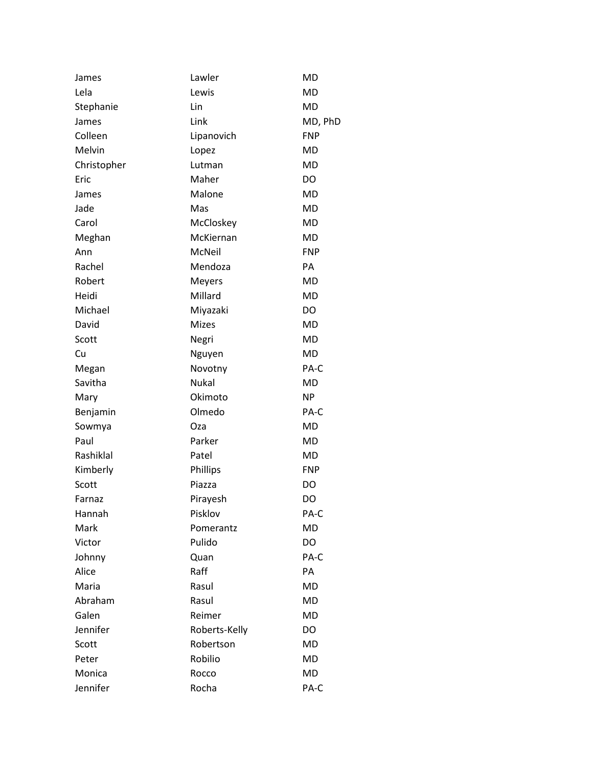| James       | Lawler        | MD         |
|-------------|---------------|------------|
| Lela        | Lewis         | MD         |
| Stephanie   | Lin           | MD         |
| James       | Link          | MD, PhD    |
| Colleen     | Lipanovich    | <b>FNP</b> |
| Melvin      | Lopez         | <b>MD</b>  |
| Christopher | Lutman        | MD         |
| Eric        | Maher         | DO         |
| James       | Malone        | MD         |
| Jade        | Mas           | MD         |
| Carol       | McCloskey     | MD         |
| Meghan      | McKiernan     | MD         |
| Ann         | McNeil        | <b>FNP</b> |
| Rachel      | Mendoza       | PA         |
| Robert      | Meyers        | MD         |
| Heidi       | Millard       | MD         |
| Michael     | Miyazaki      | DO         |
| David       | <b>Mizes</b>  | MD         |
| Scott       | Negri         | MD         |
| Cu          | Nguyen        | <b>MD</b>  |
| Megan       | Novotny       | PA-C       |
| Savitha     | Nukal         | <b>MD</b>  |
| Mary        | Okimoto       | <b>NP</b>  |
| Benjamin    | Olmedo        | PA-C       |
| Sowmya      | Oza           | MD         |
| Paul        | Parker        | MD         |
| Rashiklal   | Patel         | MD         |
| Kimberly    | Phillips      | <b>FNP</b> |
| Scott       | Piazza        | DO         |
| Farnaz      | Pirayesh      | DO         |
| Hannah      | Pisklov       | PA-C       |
| Mark        | Pomerantz     | MD         |
| Victor      | Pulido        | DO         |
| Johnny      | Quan          | PA-C       |
| Alice       | Raff          | PA         |
| Maria       | Rasul         | <b>MD</b>  |
| Abraham     | Rasul         | MD         |
| Galen       | Reimer        | <b>MD</b>  |
| Jennifer    | Roberts-Kelly | DO         |
| Scott       | Robertson     | <b>MD</b>  |
| Peter       | Robilio       | MD         |
| Monica      | Rocco         | MD         |
| Jennifer    | Rocha         | PA-C       |